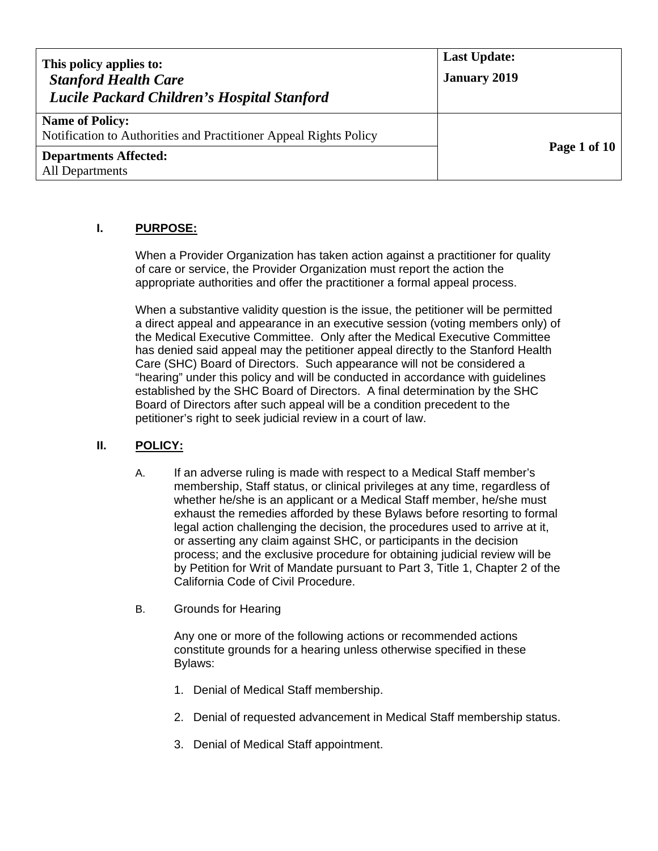| This policy applies to:<br><b>Stanford Health Care</b><br>Lucile Packard Children's Hospital Stanford | <b>Last Update:</b><br><b>January 2019</b> |
|-------------------------------------------------------------------------------------------------------|--------------------------------------------|
| <b>Name of Policy:</b><br>Notification to Authorities and Practitioner Appeal Rights Policy           |                                            |
| <b>Departments Affected:</b><br><b>All Departments</b>                                                | Page 1 of $10$                             |

# **I. PURPOSE:**

When a Provider Organization has taken action against a practitioner for quality of care or service, the Provider Organization must report the action the appropriate authorities and offer the practitioner a formal appeal process.

When a substantive validity question is the issue, the petitioner will be permitted a direct appeal and appearance in an executive session (voting members only) of the Medical Executive Committee. Only after the Medical Executive Committee has denied said appeal may the petitioner appeal directly to the Stanford Health Care (SHC) Board of Directors. Such appearance will not be considered a "hearing" under this policy and will be conducted in accordance with guidelines established by the SHC Board of Directors. A final determination by the SHC Board of Directors after such appeal will be a condition precedent to the petitioner's right to seek judicial review in a court of law.

# **II. POLICY:**

- A. If an adverse ruling is made with respect to a Medical Staff member's membership, Staff status, or clinical privileges at any time, regardless of whether he/she is an applicant or a Medical Staff member, he/she must exhaust the remedies afforded by these Bylaws before resorting to formal legal action challenging the decision, the procedures used to arrive at it, or asserting any claim against SHC, or participants in the decision process; and the exclusive procedure for obtaining judicial review will be by Petition for Writ of Mandate pursuant to Part 3, Title 1, Chapter 2 of the California Code of Civil Procedure.
- B. Grounds for Hearing

Any one or more of the following actions or recommended actions constitute grounds for a hearing unless otherwise specified in these Bylaws:

- 1. Denial of Medical Staff membership.
- 2. Denial of requested advancement in Medical Staff membership status.
- 3. Denial of Medical Staff appointment.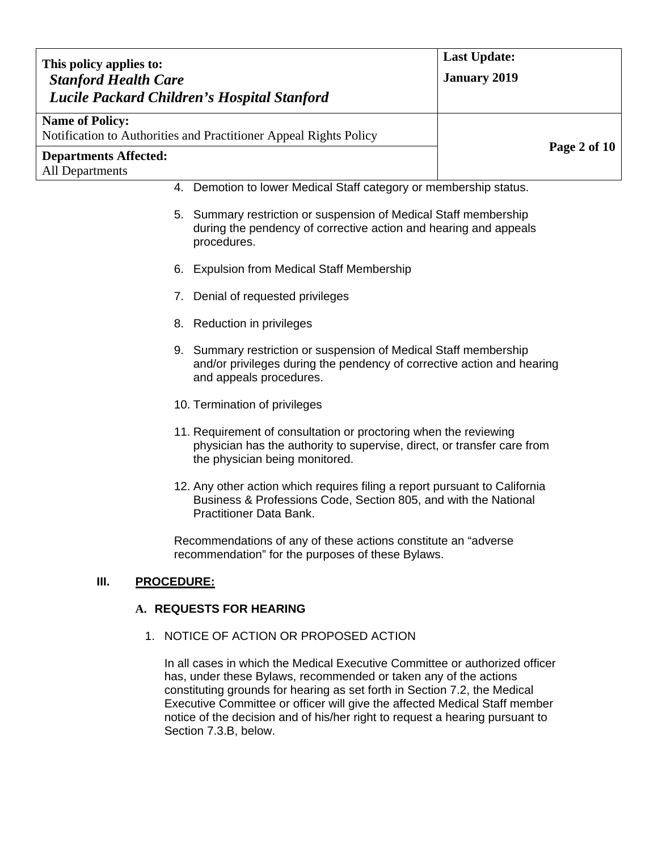| This policy applies to:                                                                                                                                                       | <b>Last Update:</b>                                                                                                                           |  |
|-------------------------------------------------------------------------------------------------------------------------------------------------------------------------------|-----------------------------------------------------------------------------------------------------------------------------------------------|--|
| <b>Stanford Health Care</b>                                                                                                                                                   | <b>January 2019</b>                                                                                                                           |  |
| Lucile Packard Children's Hospital Stanford                                                                                                                                   |                                                                                                                                               |  |
| <b>Name of Policy:</b>                                                                                                                                                        |                                                                                                                                               |  |
| Notification to Authorities and Practitioner Appeal Rights Policy                                                                                                             | Page 2 of 10                                                                                                                                  |  |
| <b>Departments Affected:</b><br><b>All Departments</b>                                                                                                                        |                                                                                                                                               |  |
|                                                                                                                                                                               | 4. Demotion to lower Medical Staff category or membership status.                                                                             |  |
| procedures.                                                                                                                                                                   | 5. Summary restriction or suspension of Medical Staff membership<br>during the pendency of corrective action and hearing and appeals          |  |
| <b>Expulsion from Medical Staff Membership</b><br>6.                                                                                                                          |                                                                                                                                               |  |
| Denial of requested privileges<br>7.                                                                                                                                          |                                                                                                                                               |  |
| 8. Reduction in privileges                                                                                                                                                    |                                                                                                                                               |  |
| and appeals procedures.                                                                                                                                                       | 9. Summary restriction or suspension of Medical Staff membership<br>and/or privileges during the pendency of corrective action and hearing    |  |
| 10. Termination of privileges                                                                                                                                                 |                                                                                                                                               |  |
| 11. Requirement of consultation or proctoring when the reviewing<br>physician has the authority to supervise, direct, or transfer care from<br>the physician being monitored. |                                                                                                                                               |  |
| <b>Practitioner Data Bank.</b>                                                                                                                                                | 12. Any other action which requires filing a report pursuant to California<br>Business & Professions Code, Section 805, and with the National |  |
| Recommendations of any of these actions constitute an "adverse"<br>recommendation" for the purposes of these Bylaws.                                                          |                                                                                                                                               |  |
| III.<br><b>PROCEDURE:</b>                                                                                                                                                     |                                                                                                                                               |  |
| A. REQUESTS FOR HEARING                                                                                                                                                       |                                                                                                                                               |  |
| 1. NOTICE OF ACTION OR PROPOSED ACTION                                                                                                                                        |                                                                                                                                               |  |

In all cases in which the Medical Executive Committee or authorized officer has, under these Bylaws, recommended or taken any of the actions constituting grounds for hearing as set forth in Section 7.2, the Medical Executive Committee or officer will give the affected Medical Staff member notice of the decision and of his/her right to request a hearing pursuant to Section 7.3.B, below.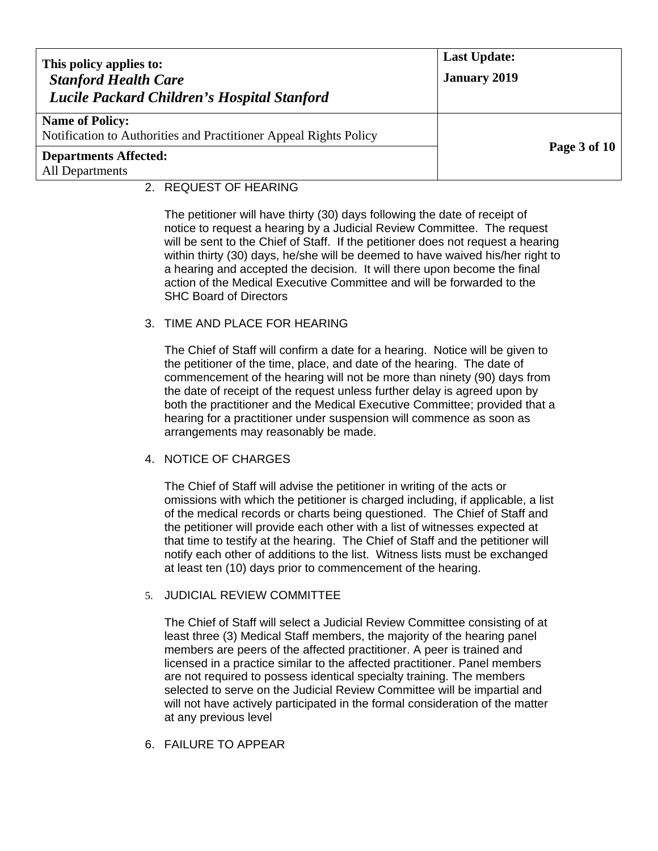| This policy applies to:<br><b>Stanford Health Care</b><br>Lucile Packard Children's Hospital Stanford | <b>Last Update:</b><br><b>January 2019</b> |
|-------------------------------------------------------------------------------------------------------|--------------------------------------------|
| <b>Name of Policy:</b><br>Notification to Authorities and Practitioner Appeal Rights Policy           |                                            |
| <b>Departments Affected:</b><br>All Departments                                                       | <b>Page 3 of 10</b>                        |

### 2. REQUEST OF HEARING

The petitioner will have thirty (30) days following the date of receipt of notice to request a hearing by a Judicial Review Committee. The request will be sent to the Chief of Staff. If the petitioner does not request a hearing within thirty (30) days, he/she will be deemed to have waived his/her right to a hearing and accepted the decision. It will there upon become the final action of the Medical Executive Committee and will be forwarded to the SHC Board of Directors

### 3. TIME AND PLACE FOR HEARING

The Chief of Staff will confirm a date for a hearing. Notice will be given to the petitioner of the time, place, and date of the hearing. The date of commencement of the hearing will not be more than ninety (90) days from the date of receipt of the request unless further delay is agreed upon by both the practitioner and the Medical Executive Committee; provided that a hearing for a practitioner under suspension will commence as soon as arrangements may reasonably be made.

### 4. NOTICE OF CHARGES

The Chief of Staff will advise the petitioner in writing of the acts or omissions with which the petitioner is charged including, if applicable, a list of the medical records or charts being questioned. The Chief of Staff and the petitioner will provide each other with a list of witnesses expected at that time to testify at the hearing. The Chief of Staff and the petitioner will notify each other of additions to the list. Witness lists must be exchanged at least ten (10) days prior to commencement of the hearing.

### 5. JUDICIAL REVIEW COMMITTEE

The Chief of Staff will select a Judicial Review Committee consisting of at least three (3) Medical Staff members, the majority of the hearing panel members are peers of the affected practitioner. A peer is trained and licensed in a practice similar to the affected practitioner. Panel members are not required to possess identical specialty training. The members selected to serve on the Judicial Review Committee will be impartial and will not have actively participated in the formal consideration of the matter at any previous level

6. FAILURE TO APPEAR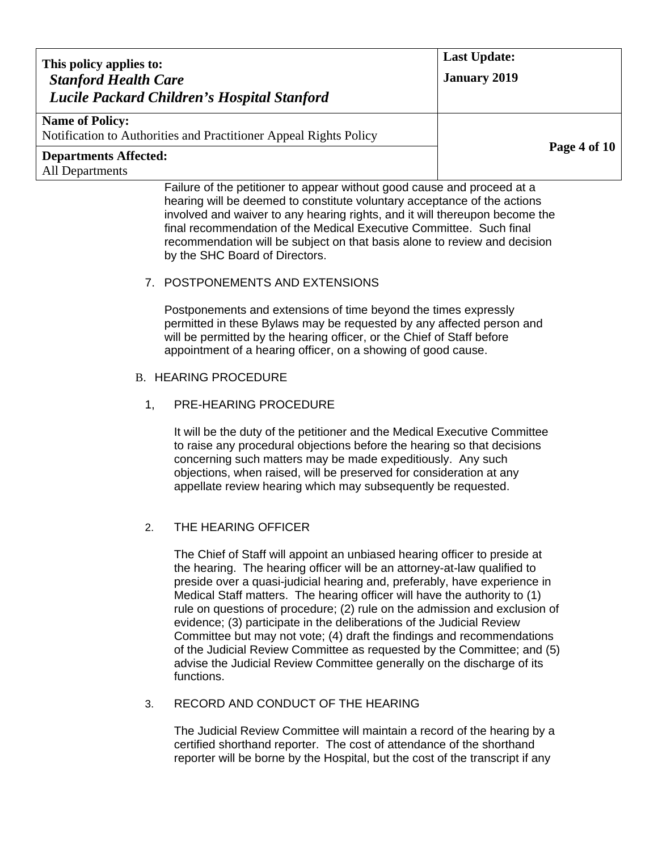| This policy applies to:<br><b>Stanford Health Care</b><br>Lucile Packard Children's Hospital Stanford                                                                                     | <b>Last Update:</b><br><b>January 2019</b> |
|-------------------------------------------------------------------------------------------------------------------------------------------------------------------------------------------|--------------------------------------------|
| <b>Name of Policy:</b><br>Notification to Authorities and Practitioner Appeal Rights Policy                                                                                               |                                            |
| <b>Departments Affected:</b><br>All Departments                                                                                                                                           | Page 4 of 10                               |
| Failure of the petitioner to appear without good cause and proceed at a<br>and the state of the state of the state of the state of the state of the state of the state of the state of th |                                            |

hearing will be deemed to constitute voluntary acceptance of the actions involved and waiver to any hearing rights, and it will thereupon become the final recommendation of the Medical Executive Committee. Such final recommendation will be subject on that basis alone to review and decision by the SHC Board of Directors.

### 7. POSTPONEMENTS AND EXTENSIONS

Postponements and extensions of time beyond the times expressly permitted in these Bylaws may be requested by any affected person and will be permitted by the hearing officer, or the Chief of Staff before appointment of a hearing officer, on a showing of good cause.

#### B. HEARING PROCEDURE

### 1, PRE-HEARING PROCEDURE

It will be the duty of the petitioner and the Medical Executive Committee to raise any procedural objections before the hearing so that decisions concerning such matters may be made expeditiously. Any such objections, when raised, will be preserved for consideration at any appellate review hearing which may subsequently be requested.

### 2. THE HEARING OFFICER

The Chief of Staff will appoint an unbiased hearing officer to preside at the hearing. The hearing officer will be an attorney-at-law qualified to preside over a quasi-judicial hearing and, preferably, have experience in Medical Staff matters. The hearing officer will have the authority to (1) rule on questions of procedure; (2) rule on the admission and exclusion of evidence; (3) participate in the deliberations of the Judicial Review Committee but may not vote; (4) draft the findings and recommendations of the Judicial Review Committee as requested by the Committee; and (5) advise the Judicial Review Committee generally on the discharge of its functions.

#### 3. RECORD AND CONDUCT OF THE HEARING

The Judicial Review Committee will maintain a record of the hearing by a certified shorthand reporter. The cost of attendance of the shorthand reporter will be borne by the Hospital, but the cost of the transcript if any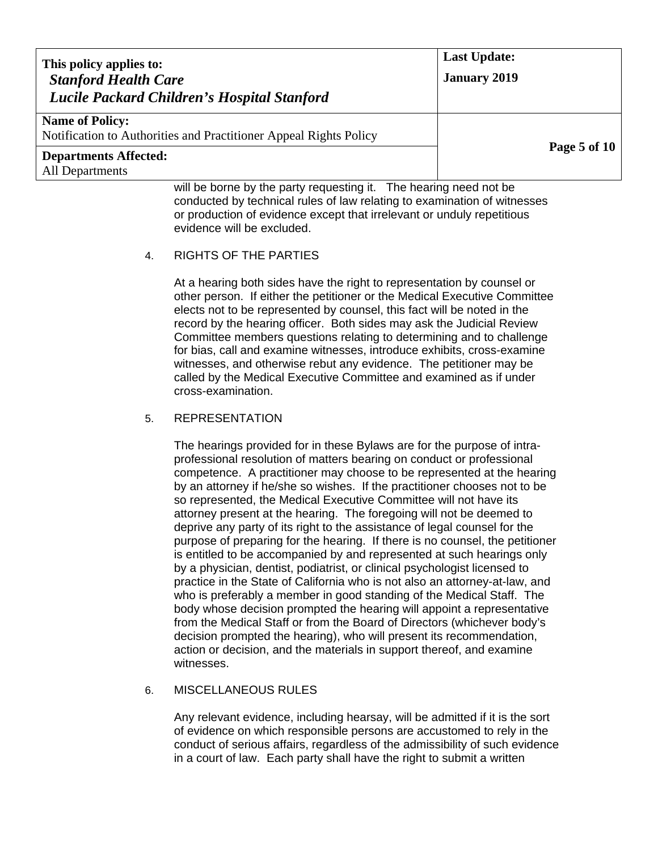| This policy applies to:<br><b>Stanford Health Care</b><br>Lucile Packard Children's Hospital Stanford | <b>Last Update:</b><br><b>January 2019</b> |
|-------------------------------------------------------------------------------------------------------|--------------------------------------------|
| <b>Name of Policy:</b><br>Notification to Authorities and Practitioner Appeal Rights Policy           |                                            |
| <b>Departments Affected:</b><br><b>All Departments</b>                                                | Page 5 of 10                               |
| امط الممامعين ممشعما مطلب التممينة مصدرين والمتمر والزباط ممسمع مط الثبير                             |                                            |

will be borne by the party requesting it. The hearing need not be conducted by technical rules of law relating to examination of witnesses or production of evidence except that irrelevant or unduly repetitious evidence will be excluded.

### 4. RIGHTS OF THE PARTIES

At a hearing both sides have the right to representation by counsel or other person. If either the petitioner or the Medical Executive Committee elects not to be represented by counsel, this fact will be noted in the record by the hearing officer. Both sides may ask the Judicial Review Committee members questions relating to determining and to challenge for bias, call and examine witnesses, introduce exhibits, cross-examine witnesses, and otherwise rebut any evidence. The petitioner may be called by the Medical Executive Committee and examined as if under cross-examination.

### 5. REPRESENTATION

The hearings provided for in these Bylaws are for the purpose of intraprofessional resolution of matters bearing on conduct or professional competence. A practitioner may choose to be represented at the hearing by an attorney if he/she so wishes. If the practitioner chooses not to be so represented, the Medical Executive Committee will not have its attorney present at the hearing. The foregoing will not be deemed to deprive any party of its right to the assistance of legal counsel for the purpose of preparing for the hearing. If there is no counsel, the petitioner is entitled to be accompanied by and represented at such hearings only by a physician, dentist, podiatrist, or clinical psychologist licensed to practice in the State of California who is not also an attorney-at-law, and who is preferably a member in good standing of the Medical Staff. The body whose decision prompted the hearing will appoint a representative from the Medical Staff or from the Board of Directors (whichever body's decision prompted the hearing), who will present its recommendation, action or decision, and the materials in support thereof, and examine witnesses.

# 6. MISCELLANEOUS RULES

Any relevant evidence, including hearsay, will be admitted if it is the sort of evidence on which responsible persons are accustomed to rely in the conduct of serious affairs, regardless of the admissibility of such evidence in a court of law. Each party shall have the right to submit a written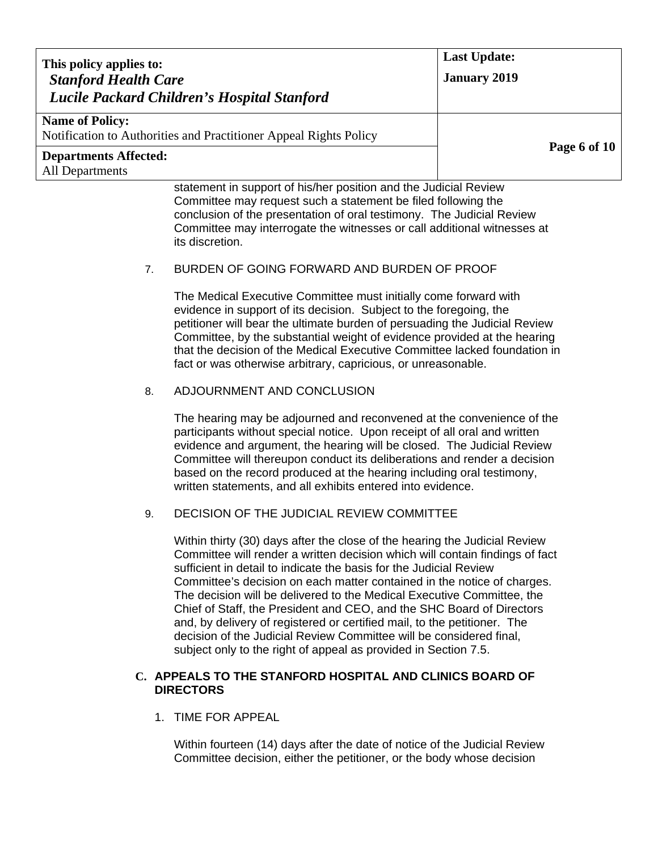| This policy applies to:                                                      |                                                                                                                                                                                                                                                                                                                                                                                                                                                                                                                                                                                                                                                                                      | <b>Last Update:</b> |
|------------------------------------------------------------------------------|--------------------------------------------------------------------------------------------------------------------------------------------------------------------------------------------------------------------------------------------------------------------------------------------------------------------------------------------------------------------------------------------------------------------------------------------------------------------------------------------------------------------------------------------------------------------------------------------------------------------------------------------------------------------------------------|---------------------|
| <b>Stanford Health Care</b>                                                  |                                                                                                                                                                                                                                                                                                                                                                                                                                                                                                                                                                                                                                                                                      | <b>January 2019</b> |
|                                                                              | Lucile Packard Children's Hospital Stanford                                                                                                                                                                                                                                                                                                                                                                                                                                                                                                                                                                                                                                          |                     |
| <b>Name of Policy:</b>                                                       | Notification to Authorities and Practitioner Appeal Rights Policy                                                                                                                                                                                                                                                                                                                                                                                                                                                                                                                                                                                                                    |                     |
| <b>Departments Affected:</b><br><b>All Departments</b>                       |                                                                                                                                                                                                                                                                                                                                                                                                                                                                                                                                                                                                                                                                                      | Page 6 of 10        |
|                                                                              | statement in support of his/her position and the Judicial Review<br>Committee may request such a statement be filed following the<br>conclusion of the presentation of oral testimony. The Judicial Review<br>Committee may interrogate the witnesses or call additional witnesses at<br>its discretion.                                                                                                                                                                                                                                                                                                                                                                             |                     |
| 7.                                                                           | BURDEN OF GOING FORWARD AND BURDEN OF PROOF                                                                                                                                                                                                                                                                                                                                                                                                                                                                                                                                                                                                                                          |                     |
|                                                                              | The Medical Executive Committee must initially come forward with<br>evidence in support of its decision. Subject to the foregoing, the<br>petitioner will bear the ultimate burden of persuading the Judicial Review<br>Committee, by the substantial weight of evidence provided at the hearing<br>that the decision of the Medical Executive Committee lacked foundation in<br>fact or was otherwise arbitrary, capricious, or unreasonable.                                                                                                                                                                                                                                       |                     |
| 8.                                                                           | ADJOURNMENT AND CONCLUSION                                                                                                                                                                                                                                                                                                                                                                                                                                                                                                                                                                                                                                                           |                     |
|                                                                              | The hearing may be adjourned and reconvened at the convenience of the<br>participants without special notice. Upon receipt of all oral and written<br>evidence and argument, the hearing will be closed. The Judicial Review<br>Committee will thereupon conduct its deliberations and render a decision<br>based on the record produced at the hearing including oral testimony,<br>written statements, and all exhibits entered into evidence.                                                                                                                                                                                                                                     |                     |
| 9.                                                                           | DECISION OF THE JUDICIAL REVIEW COMMITTEE                                                                                                                                                                                                                                                                                                                                                                                                                                                                                                                                                                                                                                            |                     |
|                                                                              | Within thirty (30) days after the close of the hearing the Judicial Review<br>Committee will render a written decision which will contain findings of fact<br>sufficient in detail to indicate the basis for the Judicial Review<br>Committee's decision on each matter contained in the notice of charges.<br>The decision will be delivered to the Medical Executive Committee, the<br>Chief of Staff, the President and CEO, and the SHC Board of Directors<br>and, by delivery of registered or certified mail, to the petitioner. The<br>decision of the Judicial Review Committee will be considered final,<br>subject only to the right of appeal as provided in Section 7.5. |                     |
| C. APPEALS TO THE STANFORD HOSPITAL AND CLINICS BOARD OF<br><b>DIRECTORS</b> |                                                                                                                                                                                                                                                                                                                                                                                                                                                                                                                                                                                                                                                                                      |                     |
| 1. TIME FOR APPEAL                                                           |                                                                                                                                                                                                                                                                                                                                                                                                                                                                                                                                                                                                                                                                                      |                     |

Within fourteen (14) days after the date of notice of the Judicial Review Committee decision, either the petitioner, or the body whose decision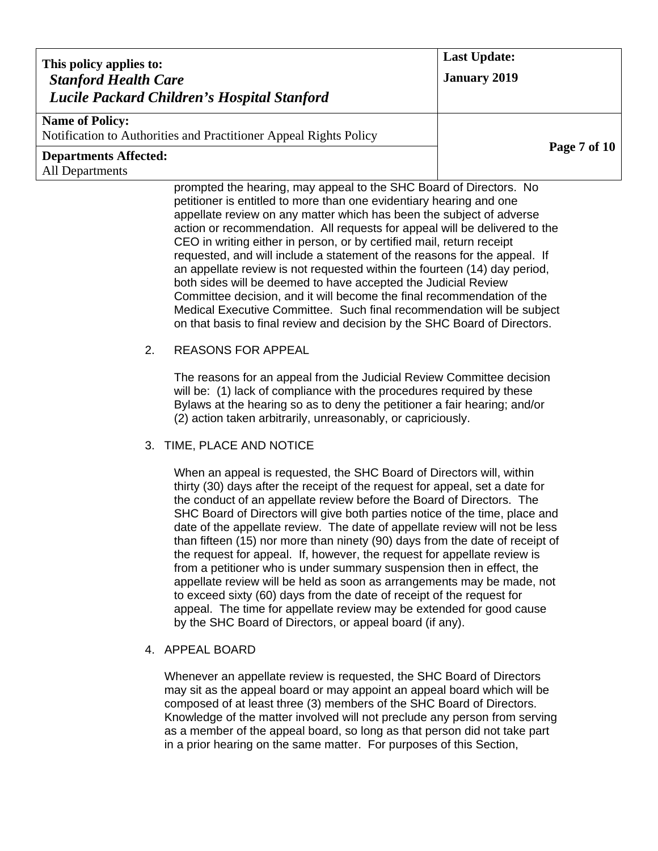| This policy applies to:                                |                                                                                                                                                                                                                                                                                                                                                                                                                                                                                                                                                                                                                                                                                                                                                                                                                                                                                                                                                                                                                                                                                                                                                                                                                                                                                                                                                                                                                                                                                                                                                                                                                                                                                                                                                                                                                                                                                                                                                                                                                                                                                                                           | <b>Last Update:</b> |
|--------------------------------------------------------|---------------------------------------------------------------------------------------------------------------------------------------------------------------------------------------------------------------------------------------------------------------------------------------------------------------------------------------------------------------------------------------------------------------------------------------------------------------------------------------------------------------------------------------------------------------------------------------------------------------------------------------------------------------------------------------------------------------------------------------------------------------------------------------------------------------------------------------------------------------------------------------------------------------------------------------------------------------------------------------------------------------------------------------------------------------------------------------------------------------------------------------------------------------------------------------------------------------------------------------------------------------------------------------------------------------------------------------------------------------------------------------------------------------------------------------------------------------------------------------------------------------------------------------------------------------------------------------------------------------------------------------------------------------------------------------------------------------------------------------------------------------------------------------------------------------------------------------------------------------------------------------------------------------------------------------------------------------------------------------------------------------------------------------------------------------------------------------------------------------------------|---------------------|
| <b>Stanford Health Care</b>                            | Lucile Packard Children's Hospital Stanford                                                                                                                                                                                                                                                                                                                                                                                                                                                                                                                                                                                                                                                                                                                                                                                                                                                                                                                                                                                                                                                                                                                                                                                                                                                                                                                                                                                                                                                                                                                                                                                                                                                                                                                                                                                                                                                                                                                                                                                                                                                                               | <b>January 2019</b> |
| <b>Name of Policy:</b>                                 |                                                                                                                                                                                                                                                                                                                                                                                                                                                                                                                                                                                                                                                                                                                                                                                                                                                                                                                                                                                                                                                                                                                                                                                                                                                                                                                                                                                                                                                                                                                                                                                                                                                                                                                                                                                                                                                                                                                                                                                                                                                                                                                           |                     |
|                                                        | Notification to Authorities and Practitioner Appeal Rights Policy                                                                                                                                                                                                                                                                                                                                                                                                                                                                                                                                                                                                                                                                                                                                                                                                                                                                                                                                                                                                                                                                                                                                                                                                                                                                                                                                                                                                                                                                                                                                                                                                                                                                                                                                                                                                                                                                                                                                                                                                                                                         | Page 7 of 10        |
| <b>Departments Affected:</b><br><b>All Departments</b> |                                                                                                                                                                                                                                                                                                                                                                                                                                                                                                                                                                                                                                                                                                                                                                                                                                                                                                                                                                                                                                                                                                                                                                                                                                                                                                                                                                                                                                                                                                                                                                                                                                                                                                                                                                                                                                                                                                                                                                                                                                                                                                                           |                     |
| 2.                                                     | prompted the hearing, may appeal to the SHC Board of Directors. No<br>petitioner is entitled to more than one evidentiary hearing and one<br>appellate review on any matter which has been the subject of adverse<br>action or recommendation. All requests for appeal will be delivered to the<br>CEO in writing either in person, or by certified mail, return receipt<br>requested, and will include a statement of the reasons for the appeal. If<br>an appellate review is not requested within the fourteen (14) day period,<br>both sides will be deemed to have accepted the Judicial Review<br>Committee decision, and it will become the final recommendation of the<br>Medical Executive Committee. Such final recommendation will be subject<br>on that basis to final review and decision by the SHC Board of Directors.<br><b>REASONS FOR APPEAL</b><br>The reasons for an appeal from the Judicial Review Committee decision<br>will be: (1) lack of compliance with the procedures required by these<br>Bylaws at the hearing so as to deny the petitioner a fair hearing; and/or<br>(2) action taken arbitrarily, unreasonably, or capriciously.<br>3. TIME, PLACE AND NOTICE<br>When an appeal is requested, the SHC Board of Directors will, within<br>thirty (30) days after the receipt of the request for appeal, set a date for<br>the conduct of an appellate review before the Board of Directors. The<br>SHC Board of Directors will give both parties notice of the time, place and<br>date of the appellate review. The date of appellate review will not be less<br>than fifteen (15) nor more than ninety (90) days from the date of receipt of<br>the request for appeal. If, however, the request for appellate review is<br>from a petitioner who is under summary suspension then in effect, the<br>appellate review will be held as soon as arrangements may be made, not<br>to exceed sixty (60) days from the date of receipt of the request for<br>appeal. The time for appellate review may be extended for good cause<br>by the SHC Board of Directors, or appeal board (if any). |                     |
|                                                        | 4. APPEAL BOARD                                                                                                                                                                                                                                                                                                                                                                                                                                                                                                                                                                                                                                                                                                                                                                                                                                                                                                                                                                                                                                                                                                                                                                                                                                                                                                                                                                                                                                                                                                                                                                                                                                                                                                                                                                                                                                                                                                                                                                                                                                                                                                           |                     |
|                                                        | Whenever an appellate review is requested, the SHC Board of Directors<br>may sit as the appeal board or may appoint an appeal board which will be                                                                                                                                                                                                                                                                                                                                                                                                                                                                                                                                                                                                                                                                                                                                                                                                                                                                                                                                                                                                                                                                                                                                                                                                                                                                                                                                                                                                                                                                                                                                                                                                                                                                                                                                                                                                                                                                                                                                                                         |                     |

composed of at least three (3) members of the SHC Board of Directors. Knowledge of the matter involved will not preclude any person from serving as a member of the appeal board, so long as that person did not take part in a prior hearing on the same matter. For purposes of this Section,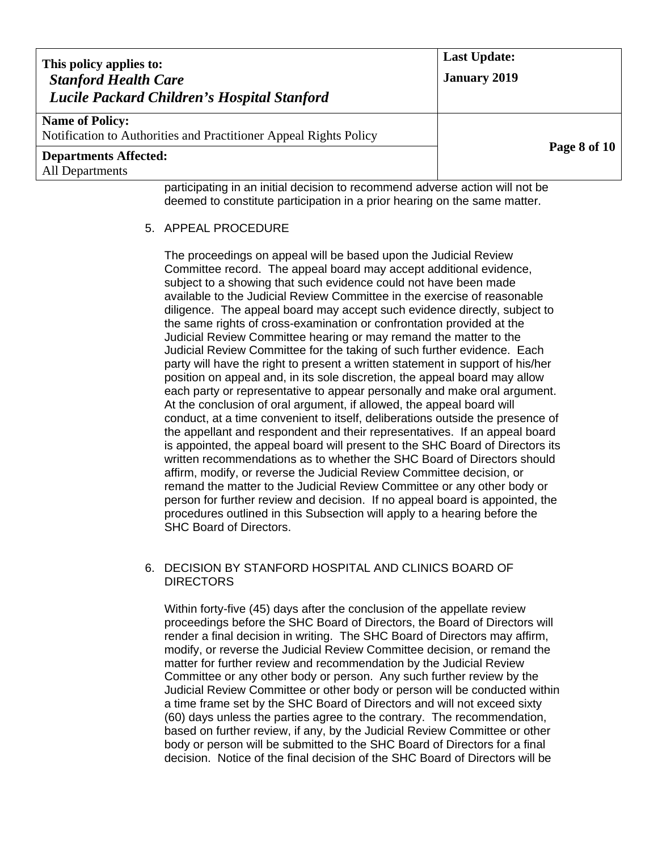| This policy applies to:<br><b>Stanford Health Care</b><br>Lucile Packard Children's Hospital Stanford | <b>Last Update:</b><br><b>January 2019</b> |
|-------------------------------------------------------------------------------------------------------|--------------------------------------------|
| <b>Name of Policy:</b><br>Notification to Authorities and Practitioner Appeal Rights Policy           |                                            |
| <b>Departments Affected:</b><br>All Departments                                                       | Page 8 of 10                               |
| participating in an initial decision to recommend adverse action will not be                          |                                            |

participating in an initial decision to recommend adverse action will not be deemed to constitute participation in a prior hearing on the same matter.

### 5. APPEAL PROCEDURE

The proceedings on appeal will be based upon the Judicial Review Committee record. The appeal board may accept additional evidence, subject to a showing that such evidence could not have been made available to the Judicial Review Committee in the exercise of reasonable diligence. The appeal board may accept such evidence directly, subject to the same rights of cross-examination or confrontation provided at the Judicial Review Committee hearing or may remand the matter to the Judicial Review Committee for the taking of such further evidence. Each party will have the right to present a written statement in support of his/her position on appeal and, in its sole discretion, the appeal board may allow each party or representative to appear personally and make oral argument. At the conclusion of oral argument, if allowed, the appeal board will conduct, at a time convenient to itself, deliberations outside the presence of the appellant and respondent and their representatives. If an appeal board is appointed, the appeal board will present to the SHC Board of Directors its written recommendations as to whether the SHC Board of Directors should affirm, modify, or reverse the Judicial Review Committee decision, or remand the matter to the Judicial Review Committee or any other body or person for further review and decision. If no appeal board is appointed, the procedures outlined in this Subsection will apply to a hearing before the SHC Board of Directors.

# 6. DECISION BY STANFORD HOSPITAL AND CLINICS BOARD OF DIRECTORS

Within forty-five (45) days after the conclusion of the appellate review proceedings before the SHC Board of Directors, the Board of Directors will render a final decision in writing. The SHC Board of Directors may affirm, modify, or reverse the Judicial Review Committee decision, or remand the matter for further review and recommendation by the Judicial Review Committee or any other body or person. Any such further review by the Judicial Review Committee or other body or person will be conducted within a time frame set by the SHC Board of Directors and will not exceed sixty (60) days unless the parties agree to the contrary. The recommendation, based on further review, if any, by the Judicial Review Committee or other body or person will be submitted to the SHC Board of Directors for a final decision. Notice of the final decision of the SHC Board of Directors will be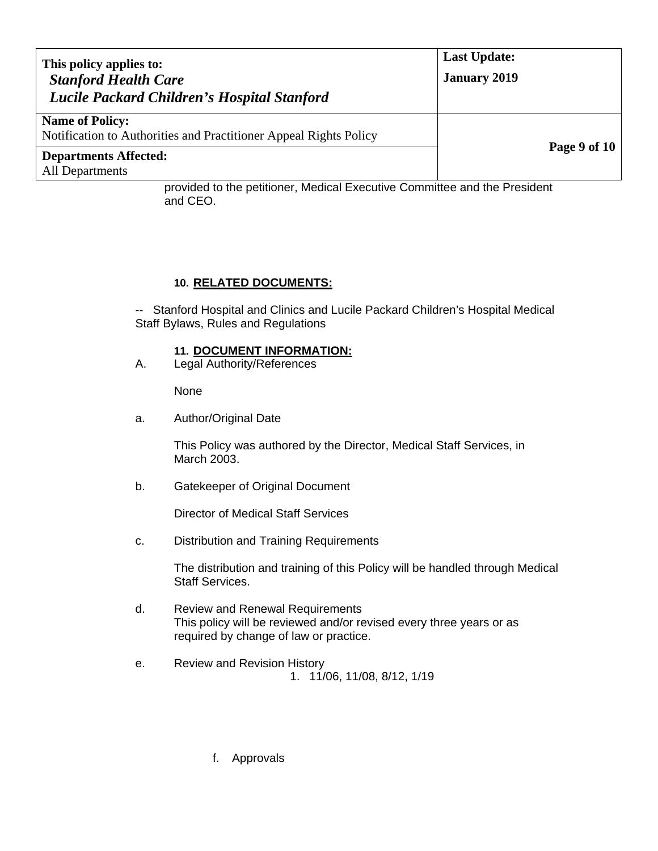| This policy applies to:<br><b>Stanford Health Care</b><br>Lucile Packard Children's Hospital Stanford | <b>Last Update:</b><br><b>January 2019</b> |  |
|-------------------------------------------------------------------------------------------------------|--------------------------------------------|--|
| <b>Name of Policy:</b><br>Notification to Authorities and Practitioner Appeal Rights Policy           |                                            |  |
| <b>Departments Affected:</b><br>All Departments                                                       | Page 9 of 10                               |  |

provided to the petitioner, Medical Executive Committee and the President and CEO.

### **10. RELATED DOCUMENTS:**

-- Stanford Hospital and Clinics and Lucile Packard Children's Hospital Medical Staff Bylaws, Rules and Regulations

### **11. DOCUMENT INFORMATION:**

A. Legal Authority/References

None

a. Author/Original Date

This Policy was authored by the Director, Medical Staff Services, in March 2003.

b. Gatekeeper of Original Document

Director of Medical Staff Services

c. Distribution and Training Requirements

 The distribution and training of this Policy will be handled through Medical Staff Services.

- d. Review and Renewal Requirements This policy will be reviewed and/or revised every three years or as required by change of law or practice.
- e. Review and Revision History

1. 11/06, 11/08, 8/12, 1/19

f. Approvals